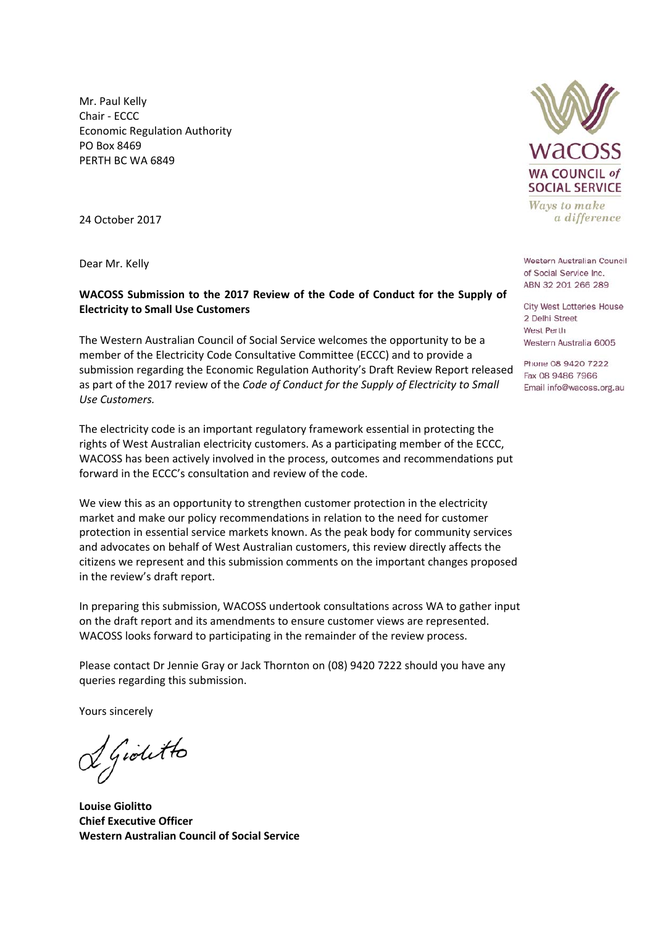Mr. Paul Kelly Chair ‐ ECCC Economic Regulation Authority PO Box 8469 PERTH BC WA 6849

24 October 2017

#### **WACOSS Submission to the 2017 Review of the Code of Conduct for the Supply of Electricity to Small Use Customers**

The Western Australian Council of Social Service welcomes the opportunity to be a member of the Electricity Code Consultative Committee (ECCC) and to provide a submission regarding the Economic Regulation Authority's Draft Review Report released as part of the 2017 review of the *Code of Conduct for the Supply of Electricity to Small Use Customers.* 

The electricity code is an important regulatory framework essential in protecting the rights of West Australian electricity customers. As a participating member of the ECCC, WACOSS has been actively involved in the process, outcomes and recommendations put forward in the ECCC's consultation and review of the code.

We view this as an opportunity to strengthen customer protection in the electricity market and make our policy recommendations in relation to the need for customer protection in essential service markets known. As the peak body for community services and advocates on behalf of West Australian customers, this review directly affects the citizens we represent and this submission comments on the important changes proposed in the review's draft report.

In preparing this submission, WACOSS undertook consultations across WA to gather input on the draft report and its amendments to ensure customer views are represented. WACOSS looks forward to participating in the remainder of the review process.

Please contact Dr Jennie Gray or Jack Thornton on (08) 9420 7222 should you have any queries regarding this submission.

Yours sincerely

f Giolitto

**Louise Giolitto Chief Executive Officer Western Australian Council of Social Service** 



Ways to make a difference

**Dear Mr. Kelly**<br> **Dear Mr. Kelly**<br> **Dear Mr. Kelly**<br> **Dear Mr. Kelly** ABN 32 201 266 289

> **City West Lotteries House** 2 Delhi Street West Perth Western Australia 6005

> Phone 08 9420 7222 Fax 08 9486 7966 Email info@wacoss.org.au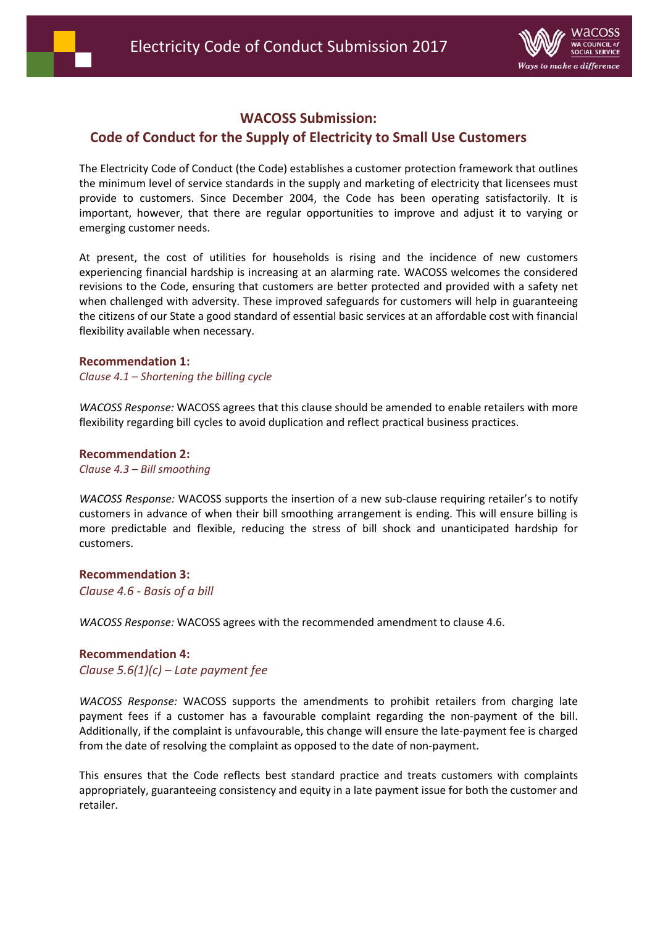



# **WACOSS Submission:**

## **Code of Conduct for the Supply of Electricity to Small Use Customers**

The Electricity Code of Conduct (the Code) establishes a customer protection framework that outlines the minimum level of service standards in the supply and marketing of electricity that licensees must provide to customers. Since December 2004, the Code has been operating satisfactorily. It is important, however, that there are regular opportunities to improve and adjust it to varying or emerging customer needs.

At present, the cost of utilities for households is rising and the incidence of new customers experiencing financial hardship is increasing at an alarming rate. WACOSS welcomes the considered revisions to the Code, ensuring that customers are better protected and provided with a safety net when challenged with adversity. These improved safeguards for customers will help in guaranteeing the citizens of our State a good standard of essential basic services at an affordable cost with financial flexibility available when necessary.

#### **Recommendation 1:**

#### *Clause 4.1 – Shortening the billing cycle*

*WACOSS Response:* WACOSS agrees that this clause should be amended to enable retailers with more flexibility regarding bill cycles to avoid duplication and reflect practical business practices.

**Recommendation 2:** 

*Clause 4.3 – Bill smoothing*

*WACOSS Response:* WACOSS supports the insertion of a new sub‐clause requiring retailer's to notify customers in advance of when their bill smoothing arrangement is ending. This will ensure billing is more predictable and flexible, reducing the stress of bill shock and unanticipated hardship for customers.

#### **Recommendation 3:**

*Clause 4.6 ‐ Basis of a bill* 

*WACOSS Response:* WACOSS agrees with the recommended amendment to clause 4.6.

#### **Recommendation 4:**

*Clause 5.6(1)(c) – Late payment fee* 

*WACOSS Response:*  WACOSS supports the amendments to prohibit retailers from charging late payment fees if a customer has a favourable complaint regarding the non-payment of the bill. Additionally, if the complaint is unfavourable, this change will ensure the late‐payment fee is charged from the date of resolving the complaint as opposed to the date of non‐payment.

This ensures that the Code reflects best standard practice and treats customers with complaints appropriately, guaranteeing consistency and equity in a late payment issue for both the customer and retailer.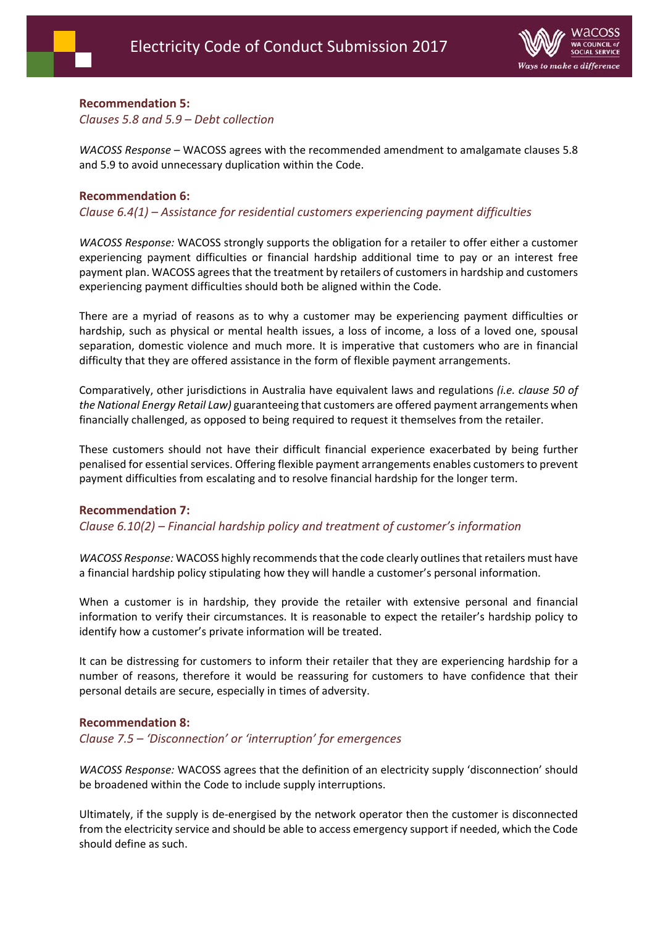# **Recommendation 5:**

*Clauses 5.8 and 5.9 – Debt collection* 

*WACOSS Response* – WACOSS agrees with the recommended amendment to amalgamate clauses 5.8 and 5.9 to avoid unnecessary duplication within the Code.

### **Recommendation 6:**

*Clause 6.4(1) – Assistance for residential customers experiencing payment difficulties* 

*WACOSS Response:* WACOSS strongly supports the obligation for a retailer to offer either a customer experiencing payment difficulties or financial hardship additional time to pay or an interest free payment plan. WACOSS agrees that the treatment by retailers of customers in hardship and customers experiencing payment difficulties should both be aligned within the Code.

There are a myriad of reasons as to why a customer may be experiencing payment difficulties or hardship, such as physical or mental health issues, a loss of income, a loss of a loved one, spousal separation, domestic violence and much more. It is imperative that customers who are in financial difficulty that they are offered assistance in the form of flexible payment arrangements.

Comparatively, other jurisdictions in Australia have equivalent laws and regulations *(i.e. clause 50 of the National Energy Retail Law)* guaranteeing that customers are offered payment arrangements when financially challenged, as opposed to being required to request it themselves from the retailer.

These customers should not have their difficult financial experience exacerbated by being further penalised for essential services. Offering flexible payment arrangements enables customers to prevent payment difficulties from escalating and to resolve financial hardship for the longer term.

### **Recommendation 7:**

*Clause 6.10(2) – Financial hardship policy and treatment of customer's information* 

*WACOSS Response:* WACOSS highly recommends that the code clearly outlines that retailers must have a financial hardship policy stipulating how they will handle a customer's personal information.

When a customer is in hardship, they provide the retailer with extensive personal and financial information to verify their circumstances. It is reasonable to expect the retailer's hardship policy to identify how a customer's private information will be treated.

It can be distressing for customers to inform their retailer that they are experiencing hardship for a number of reasons, therefore it would be reassuring for customers to have confidence that their personal details are secure, especially in times of adversity.

#### **Recommendation 8:**

*Clause 7.5 – 'Disconnection' or 'interruption' for emergences* 

*WACOSS Response:* WACOSS agrees that the definition of an electricity supply 'disconnection' should be broadened within the Code to include supply interruptions.

Ultimately, if the supply is de‐energised by the network operator then the customer is disconnected from the electricity service and should be able to access emergency support if needed, which the Code should define as such.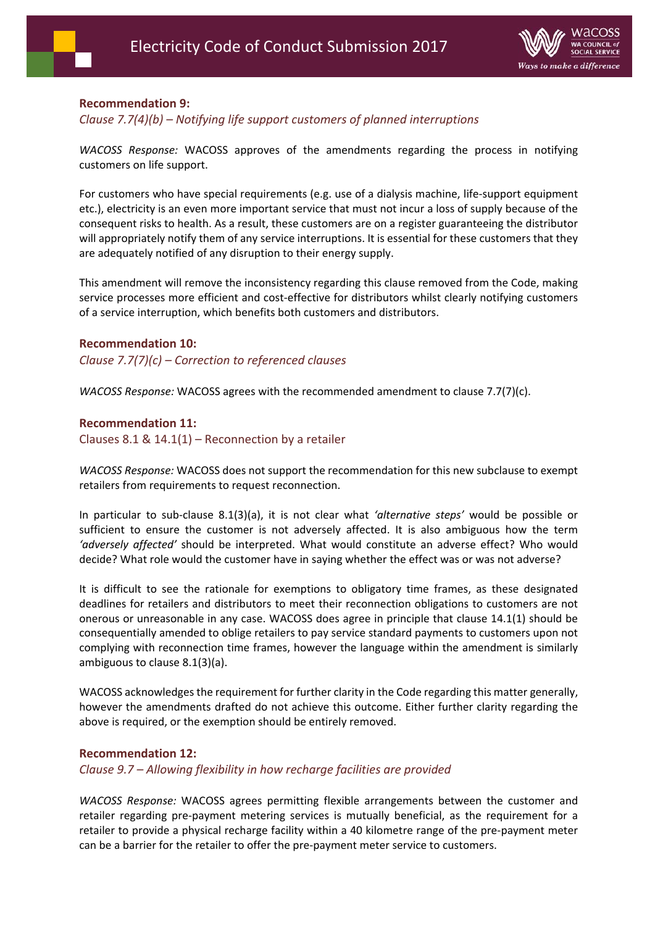

### **Recommendation 9:**

#### *Clause 7.7(4)(b) – Notifying life support customers of planned interruptions*

*WACOSS Response:* WACOSS approves of the amendments regarding the process in notifying customers on life support.

For customers who have special requirements (e.g. use of a dialysis machine, life‐support equipment etc.), electricity is an even more important service that must not incur a loss of supply because of the consequent risks to health. As a result, these customers are on a register guaranteeing the distributor will appropriately notify them of any service interruptions. It is essential for these customers that they are adequately notified of any disruption to their energy supply.

This amendment will remove the inconsistency regarding this clause removed from the Code, making service processes more efficient and cost-effective for distributors whilst clearly notifying customers of a service interruption, which benefits both customers and distributors.

#### **Recommendation 10:**

*Clause 7.7(7)(c) – Correction to referenced clauses* 

*WACOSS Response:* WACOSS agrees with the recommended amendment to clause 7.7(7)(c).

#### **Recommendation 11:**

Clauses 8.1 &  $14.1(1)$  – Reconnection by a retailer

*WACOSS Response:* WACOSS does not support the recommendation for this new subclause to exempt retailers from requirements to request reconnection.

In particular to sub‐clause 8.1(3)(a), it is not clear what *'alternative steps'* would be possible or sufficient to ensure the customer is not adversely affected. It is also ambiguous how the term *'adversely affected'* should be interpreted. What would constitute an adverse effect? Who would decide? What role would the customer have in saying whether the effect was or was not adverse?

It is difficult to see the rationale for exemptions to obligatory time frames, as these designated deadlines for retailers and distributors to meet their reconnection obligations to customers are not onerous or unreasonable in any case. WACOSS does agree in principle that clause 14.1(1) should be consequentially amended to oblige retailers to pay service standard payments to customers upon not complying with reconnection time frames, however the language within the amendment is similarly ambiguous to clause 8.1(3)(a).

WACOSS acknowledges the requirement for further clarity in the Code regarding this matter generally, however the amendments drafted do not achieve this outcome. Either further clarity regarding the above is required, or the exemption should be entirely removed.

#### **Recommendation 12:**

*Clause 9.7 – Allowing flexibility in how recharge facilities are provided* 

*WACOSS Response:* WACOSS agrees permitting flexible arrangements between the customer and retailer regarding pre‐payment metering services is mutually beneficial, as the requirement for a retailer to provide a physical recharge facility within a 40 kilometre range of the pre‐payment meter can be a barrier for the retailer to offer the pre‐payment meter service to customers.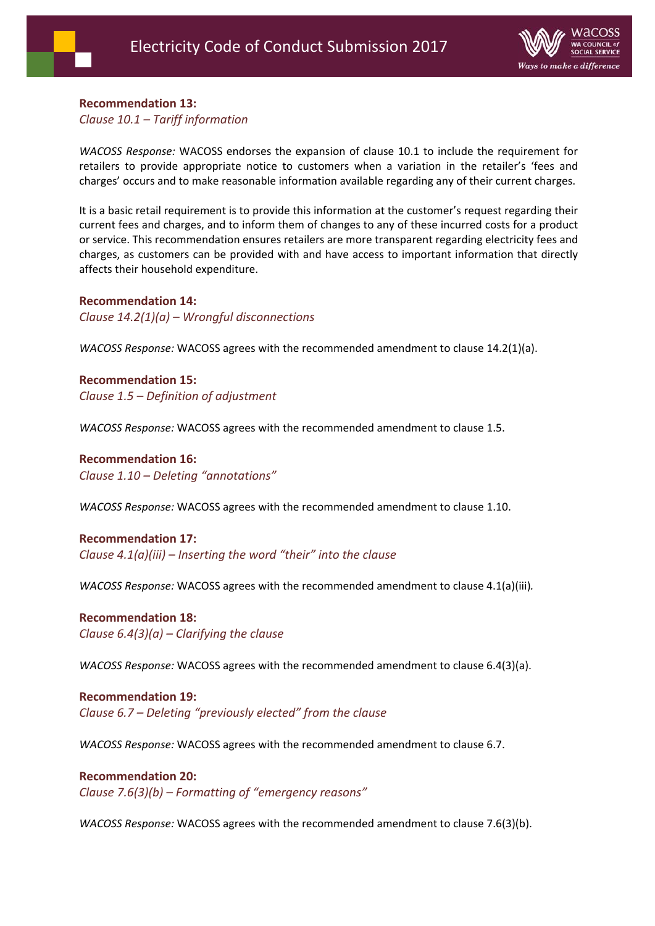

#### **Recommendation 13:**

*Clause 10.1 – Tariff information* 

*WACOSS Response:* WACOSS endorses the expansion of clause 10.1 to include the requirement for retailers to provide appropriate notice to customers when a variation in the retailer's 'fees and charges' occurs and to make reasonable information available regarding any of their current charges.

It is a basic retail requirement is to provide this information at the customer's request regarding their current fees and charges, and to inform them of changes to any of these incurred costs for a product or service. This recommendation ensures retailers are more transparent regarding electricity fees and charges, as customers can be provided with and have access to important information that directly affects their household expenditure.

#### **Recommendation 14:**

*Clause 14.2(1)(a) – Wrongful disconnections* 

*WACOSS Response:* WACOSS agrees with the recommended amendment to clause 14.2(1)(a).

#### **Recommendation 15:**

*Clause 1.5 – Definition of adjustment* 

*WACOSS Response:* WACOSS agrees with the recommended amendment to clause 1.5.

#### **Recommendation 16:**  *Clause 1.10 – Deleting "annotations"*

*WACOSS Response:* WACOSS agrees with the recommended amendment to clause 1.10.

#### **Recommendation 17:**

*Clause 4.1(a)(iii) – Inserting the word "their" into the clause*

*WACOSS Response:* WACOSS agrees with the recommended amendment to clause 4.1(a)(iii)*.* 

#### **Recommendation 18:**  *Clause 6.4(3)(a) – Clarifying the clause*

*WACOSS Response:* WACOSS agrees with the recommended amendment to clause 6.4(3)(a).

**Recommendation 19:**  *Clause 6.7 – Deleting "previously elected" from the clause* 

*WACOSS Response:* WACOSS agrees with the recommended amendment to clause 6.7.

#### **Recommendation 20:**  *Clause 7.6(3)(b) – Formatting of "emergency reasons"*

*WACOSS Response:* WACOSS agrees with the recommended amendment to clause 7.6(3)(b).